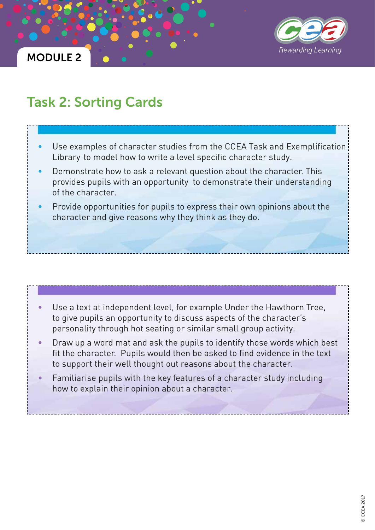

### MODULE 2

## Task 2: Sorting Cards

- Use examples of character studies from the CCEA Task and Exemplification Library to model how to write a level specific character study.
- Demonstrate how to ask a relevant question about the character. This provides pupils with an opportunity to demonstrate their understanding of the character.
- Provide opportunities for pupils to express their own opinions about the character and give reasons why they think as they do.

### Use a text at independent level, for example Under the Hawthorn Tree, to give pupils an opportunity to discuss aspects of the character's personality through hot seating or similar small group activity.

- Draw up a word mat and ask the pupils to identify those words which best fit the character. Pupils would then be asked to find evidence in the text to support their well thought out reasons about the character.
- Familiarise pupils with the key features of a character study including how to explain their opinion about a character.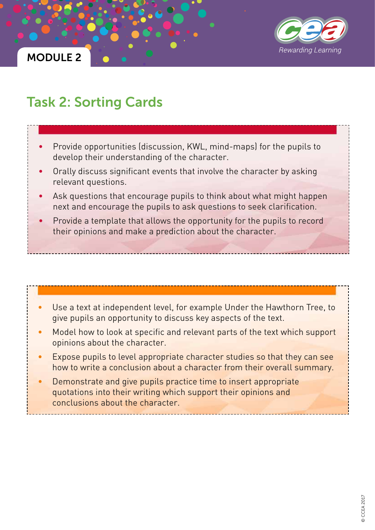



# Task 2: Sorting Cards

- Provide opportunities (discussion, KWL, mind-maps) for the pupils to develop their understanding of the character.
- Orally discuss significant events that involve the character by asking relevant questions.
- Ask questions that encourage pupils to think about what might happen next and encourage the pupils to ask questions to seek clarification.
- Provide a template that allows the opportunity for the pupils to record their opinions and make a prediction about the character.

### Use a text at independent level, for example Under the Hawthorn Tree, to give pupils an opportunity to discuss key aspects of the text.

- Model how to look at specific and relevant parts of the text which support opinions about the character.
- Expose pupils to level appropriate character studies so that they can see how to write a conclusion about a character from their overall summary.
- Demonstrate and give pupils practice time to insert appropriate quotations into their writing which support their opinions and conclusions about the character.